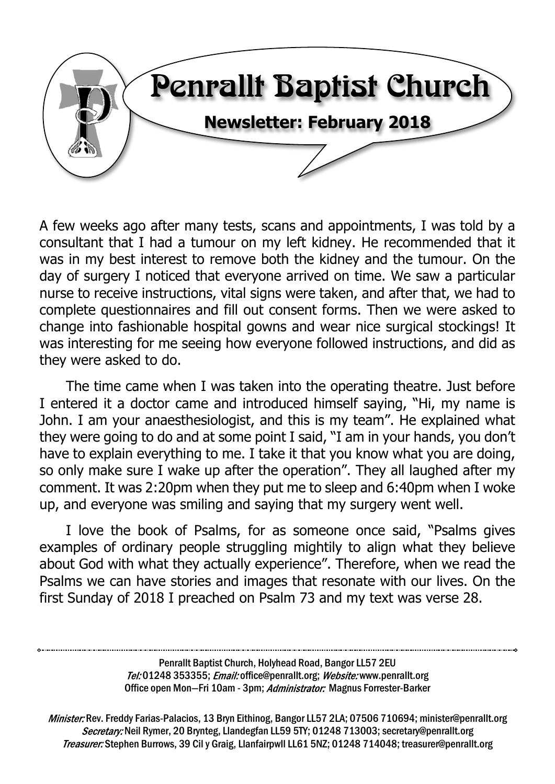

A few weeks ago after many tests, scans and appointments, I was told by a consultant that I had a tumour on my left kidney. He recommended that it was in my best interest to remove both the kidney and the tumour. On the day of surgery I noticed that everyone arrived on time. We saw a particular nurse to receive instructions, vital signs were taken, and after that, we had to complete questionnaires and fill out consent forms. Then we were asked to change into fashionable hospital gowns and wear nice surgical stockings! It was interesting for me seeing how everyone followed instructions, and did as they were asked to do.

The time came when I was taken into the operating theatre. Just before I entered it a doctor came and introduced himself saying, "Hi, my name is John. I am your anaesthesiologist, and this is my team". He explained what they were going to do and at some point I said, "I am in your hands, you don't have to explain everything to me. I take it that you know what you are doing, so only make sure I wake up after the operation". They all laughed after my comment. It was 2:20pm when they put me to sleep and 6:40pm when I woke up, and everyone was smiling and saying that my surgery went well.

I love the book of Psalms, for as someone once said, "Psalms gives examples of ordinary people struggling mightily to align what they believe about God with what they actually experience". Therefore, when we read the Psalms we can have stories and images that resonate with our lives. On the first Sunday of 2018 I preached on Psalm 73 and my text was verse 28.

> Penrallt Baptist Church, Holyhead Road, Bangor LL57 2EU Tel:01248 353355; Email: office@penrallt.org; Website: www.penrallt.org Office open Mon-Fri 10am - 3pm; Administrator: Magnus Forrester-Barker

Minister: Rev. Freddy Farias-Palacios, 13 Bryn Eithinog, Bangor LL57 2LA; 07506 710694; minister@penrallt.org Secretary: Neil Rymer, 20 Brynteg, Llandegfan LL59 5TY; 01248 713003; secretary@penrallt.org Treasurer: Stephen Burrows, 39 Cil y Graig, Llanfairpwll LL61 5NZ; 01248 714048; treasurer@penrallt.org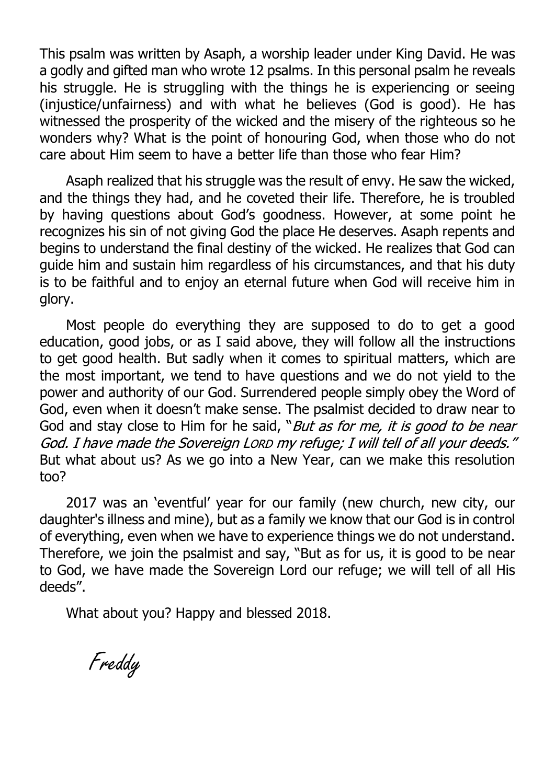This psalm was written by Asaph, a worship leader under King David. He was a godly and gifted man who wrote 12 psalms. In this personal psalm he reveals his struggle. He is struggling with the things he is experiencing or seeing (injustice/unfairness) and with what he believes (God is good). He has witnessed the prosperity of the wicked and the misery of the righteous so he wonders why? What is the point of honouring God, when those who do not care about Him seem to have a better life than those who fear Him?

Asaph realized that his struggle was the result of envy. He saw the wicked, and the things they had, and he coveted their life. Therefore, he is troubled by having questions about God's goodness. However, at some point he recognizes his sin of not giving God the place He deserves. Asaph repents and begins to understand the final destiny of the wicked. He realizes that God can guide him and sustain him regardless of his circumstances, and that his duty is to be faithful and to enjoy an eternal future when God will receive him in glory.

Most people do everything they are supposed to do to get a good education, good jobs, or as I said above, they will follow all the instructions to get good health. But sadly when it comes to spiritual matters, which are the most important, we tend to have questions and we do not yield to the power and authority of our God. Surrendered people simply obey the Word of God, even when it doesn't make sense. The psalmist decided to draw near to God and stay close to Him for he said, "But as for me, it is good to be near God. I have made the Sovereign Lorp my refuge; I will tell of all your deeds." But what about us? As we go into a New Year, can we make this resolution too?

2017 was an 'eventful' year for our family (new church, new city, our daughter's illness and mine), but as a family we know that our God is in control of everything, even when we have to experience things we do not understand. Therefore, we join the psalmist and say, "But as for us, it is good to be near to God, we have made the Sovereign Lord our refuge; we will tell of all His deeds".

What about you? Happy and blessed 2018.

Freddy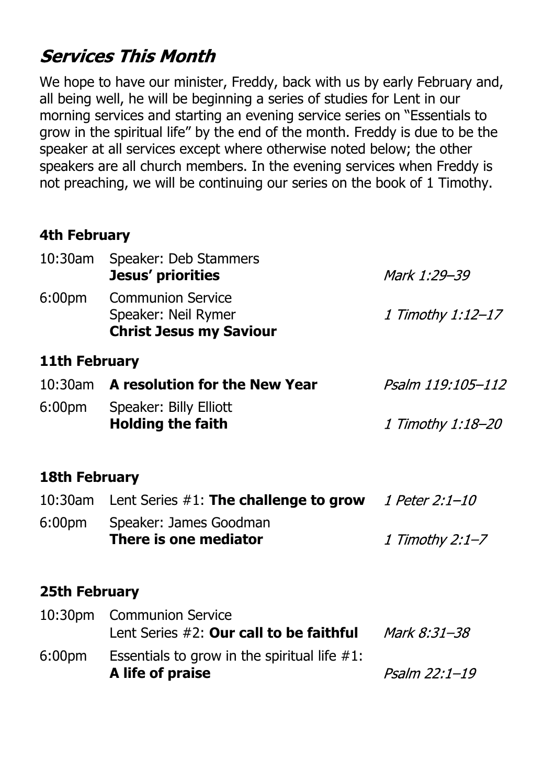# **Services This Month**

We hope to have our minister, Freddy, back with us by early February and, all being well, he will be beginning a series of studies for Lent in our morning services and starting an evening service series on "Essentials to grow in the spiritual life" by the end of the month. Freddy is due to be the speaker at all services except where otherwise noted below; the other speakers are all church members. In the evening services when Freddy is not preaching, we will be continuing our series on the book of 1 Timothy.

### **4th February**

| $10:30$ am         | Speaker: Deb Stammers<br>Jesus' priorities                                        | Mark 1:29-39      |
|--------------------|-----------------------------------------------------------------------------------|-------------------|
| 6:00 <sub>pm</sub> | <b>Communion Service</b><br>Speaker: Neil Rymer<br><b>Christ Jesus my Saviour</b> | 1 Timothy 1:12-17 |
| 11th February      |                                                                                   |                   |

|        | 10:30am A resolution for the New Year | Psalm 119:105-112 |
|--------|---------------------------------------|-------------------|
| 6:00pm | Speaker: Billy Elliott                |                   |
|        | <b>Holding the faith</b>              | 1 Timothy 1:18–20 |

## **18th February**

|                    | 10:30am Lent Series $#1$ : The challenge to grow | 1 Peter 2:1-10  |
|--------------------|--------------------------------------------------|-----------------|
| 6:00 <sub>pm</sub> | Speaker: James Goodman                           |                 |
|                    | There is one mediator                            | 1 Timothy 2:1–7 |

### **25th February**

|                    | 10:30pm Communion Service                       |               |
|--------------------|-------------------------------------------------|---------------|
|                    | Lent Series #2: Our call to be faithful         | Mark 8:31–38  |
| 6:00 <sub>pm</sub> | Essentials to grow in the spiritual life $#1$ : |               |
|                    | A life of praise                                | Psalm 22:1-19 |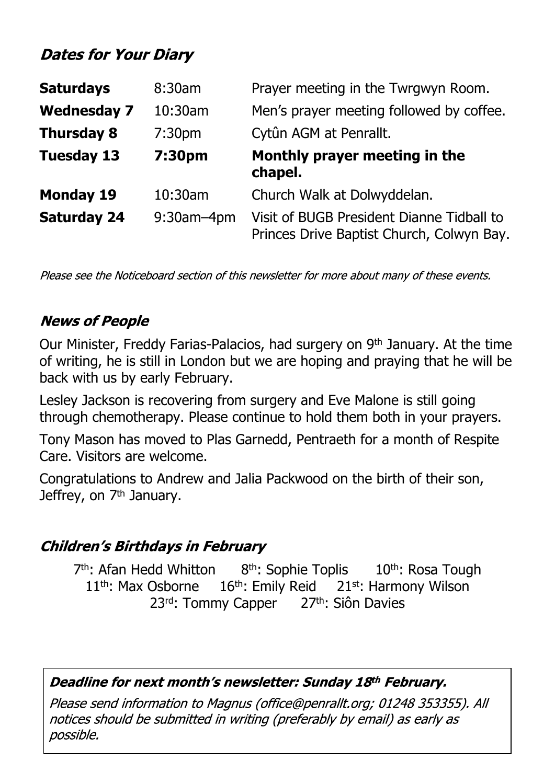# **Dates for Your Diary**

| <b>Saturdays</b>   | 8:30am             | Prayer meeting in the Twrgwyn Room.                                                    |
|--------------------|--------------------|----------------------------------------------------------------------------------------|
| <b>Wednesday 7</b> | 10:30am            | Men's prayer meeting followed by coffee.                                               |
| <b>Thursday 8</b>  | 7:30 <sub>pm</sub> | Cytûn AGM at Penrallt.                                                                 |
| <b>Tuesday 13</b>  | 7:30pm             | Monthly prayer meeting in the<br>chapel.                                               |
| <b>Monday 19</b>   | 10:30am            | Church Walk at Dolwyddelan.                                                            |
| <b>Saturday 24</b> | $9:30$ am $-4$ pm  | Visit of BUGB President Dianne Tidball to<br>Princes Drive Baptist Church, Colwyn Bay. |

Please see the Noticeboard section of this newsletter for more about many of these events.

## **News of People**

Our Minister, Freddy Farias-Palacios, had surgery on 9th January. At the time of writing, he is still in London but we are hoping and praying that he will be back with us by early February.

Lesley Jackson is recovering from surgery and Eve Malone is still going through chemotherapy. Please continue to hold them both in your prayers.

Tony Mason has moved to Plas Garnedd, Pentraeth for a month of Respite Care. Visitors are welcome.

Congratulations to Andrew and Jalia Packwood on the birth of their son, Jeffrey, on 7<sup>th</sup> January.

## **Children's Birthdays in February**

7<sup>th</sup>: Afan Hedd Whitton 8<sup>th</sup>: Sophie Toplis 10<sup>th</sup>: Rosa Tough  $11<sup>th</sup>$ : Max Osborne  $16<sup>th</sup>$ : Emily Reid  $21<sup>st</sup>$ : Harmony Wilson 23<sup>rd</sup>: Tommy Capper 27<sup>th</sup>: Siôn Davies

### Deadline for next month's newsletter: Sunday 18th February.

Please send information to Magnus (office@penrallt.org; 01248 353355). All notices should be submitted in writing (preferably by email) as early as possible.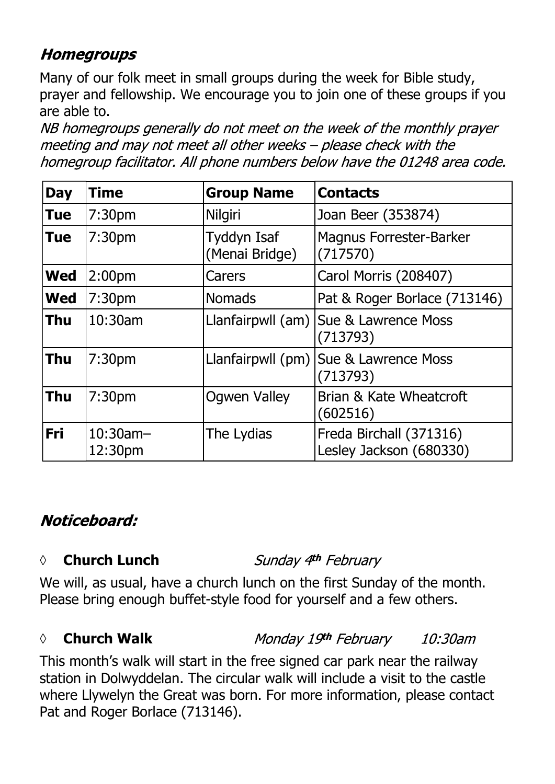# **Homegroups**

Many of our folk meet in small groups during the week for Bible study, prayer and fellowship. We encourage you to join one of these groups if you are able to.

NB homegroups generally do not meet on the week of the monthly prayer meeting and may not meet all other weeks - please check with the homegroup facilitator. All phone numbers below have the 01248 area code.

| <b>Day</b> | <b>Time</b>            | <b>Group Name</b>             | <b>Contacts</b>                                     |
|------------|------------------------|-------------------------------|-----------------------------------------------------|
| <b>Tue</b> | 7:30 <sub>pm</sub>     | <b>Nilgiri</b>                | Joan Beer (353874)                                  |
| <b>Tue</b> | 7:30 <sub>pm</sub>     | Tyddyn Isaf<br>(Menai Bridge) | <b>Magnus Forrester-Barker</b><br>(717570)          |
| <b>Wed</b> | 2:00 <sub>pm</sub>     | Carers                        | Carol Morris (208407)                               |
| <b>Wed</b> | 7:30 <sub>pm</sub>     | <b>Nomads</b>                 | Pat & Roger Borlace (713146)                        |
| <b>Thu</b> | 10:30am                |                               | Llanfairpwll (am)   Sue & Lawrence Moss<br>(713793) |
| <b>Thu</b> | 7:30pm                 |                               | Llanfairpwll (pm) Sue & Lawrence Moss<br>(713793)   |
| <b>Thu</b> | 7:30 <sub>pm</sub>     | <b>Ogwen Valley</b>           | Brian & Kate Wheatcroft<br>(602516)                 |
| <b>Fri</b> | $10:30$ am-<br>12:30pm | The Lydias                    | Freda Birchall (371316)<br>Lesley Jackson (680330)  |

# Noticeboard:

## *◊* **Church Lunch**

Sunday 4th February

We will, as usual, have a church lunch on the first Sunday of the month. Please bring enough buffet-style food for yourself and a few others.

### *◊* **Church Walk**

### Monday 19th February

10:30am

This month's walk will start in the free signed car park near the railway station in Dolwyddelan. The circular walk will include a visit to the castle where Llywelyn the Great was born. For more information, please contact Pat and Roger Borlace (713146).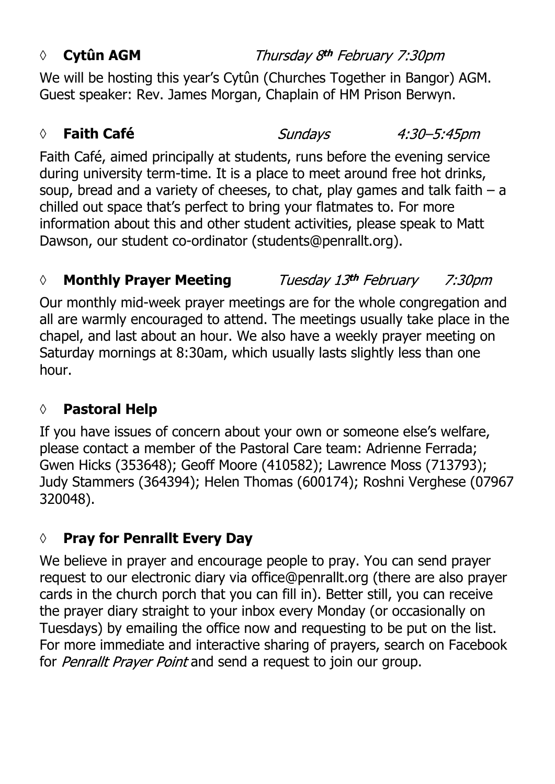### *◊* **Cytûn AGM**

Thursday 8th February 7:30pm

We will be hosting this year's Cytûn (Churches Together in Bangor) AGM. Guest speaker: Rev. James Morgan, Chaplain of HM Prison Berwyn.

## *◊* **Faith Café**

Faith Café, aimed principally at students, runs before the evening service during university term-time. It is a place to meet around free hot drinks, soup, bread and a variety of cheeses, to chat, play games and talk faith – a chilled out space that's perfect to bring your flatmates to. For more information about this and other student activities, please speak to Matt Dawson, our student co-ordinator (students@penrallt.org).

#### *◊* **Monthly Prayer Meeting** Tuesday 13th February *7:30pm*

Our monthly mid-week prayer meetings are for the whole congregation and all are warmly encouraged to attend. The meetings usually take place in the chapel, and last about an hour. We also have a weekly prayer meeting on Saturday mornings at 8:30am, which usually lasts slightly less than one hour.

# **◊ Pastoral Help**

If you have issues of concern about your own or someone else's welfare, please contact a member of the Pastoral Care team: Adrienne Ferrada; Gwen Hicks (353648); Geoff Moore (410582); Lawrence Moss (713793); Judy Stammers (364394); Helen Thomas (600174); Roshni Verghese (07967 320048).

# **◊ Pray for Penrallt Every Day**

We believe in prayer and encourage people to pray. You can send prayer request to our electronic diary via office@penrallt.org (there are also prayer cards in the church porch that you can fill in). Better still, you can receive the prayer diary straight to your inbox every Monday (or occasionally on Tuesdays) by emailing the office now and requesting to be put on the list. For more immediate and interactive sharing of prayers, search on Facebook for *Penrallt Prayer Point* and send a request to join our group.

# **Sundays**

4:30–5:45pm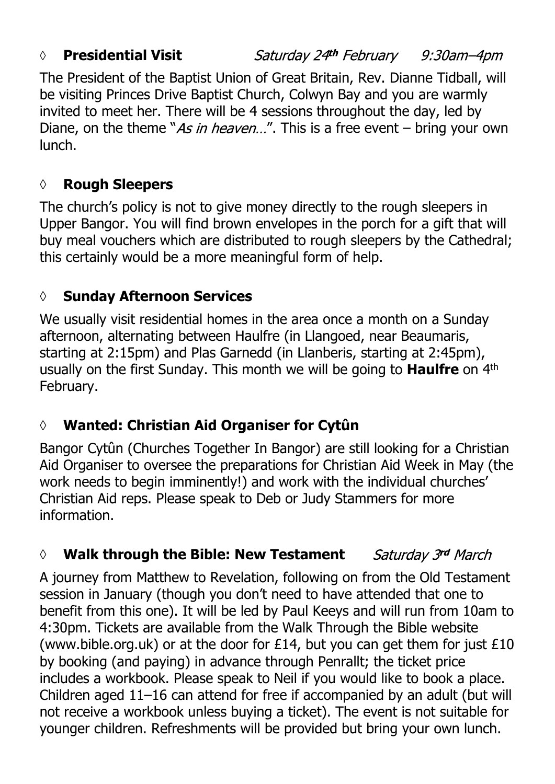### **◊ Presidential Visit**

Saturday 24th February 9:30am–4pm

The President of the Baptist Union of Great Britain, Rev. Dianne Tidball, will be visiting Princes Drive Baptist Church, Colwyn Bay and you are warmly invited to meet her. There will be 4 sessions throughout the day, led by Diane, on the theme "As in heaven...". This is a free event  $-$  bring your own lunch.

# **◊ Rough Sleepers**

The church's policy is not to give money directly to the rough sleepers in Upper Bangor. You will find brown envelopes in the porch for a gift that will buy meal vouchers which are distributed to rough sleepers by the Cathedral; this certainly would be a more meaningful form of help.

# **◊ Sunday Afternoon Services**

We usually visit residential homes in the area once a month on a Sunday afternoon, alternating between Haulfre (in Llangoed, near Beaumaris, starting at 2:15pm) and Plas Garnedd (in Llanberis, starting at 2:45pm), usually on the first Sunday. This month we will be going to **Haulfre** on 4th February.

# **◊ Wanted: Christian Aid Organiser for Cytûn**

Bangor Cytûn (Churches Together In Bangor) are still looking for a Christian Aid Organiser to oversee the preparations for Christian Aid Week in May (the work needs to begin imminently!) and work with the individual churches' Christian Aid reps. Please speak to Deb or Judy Stammers for more information.

#### Saturday 3rd March *◊* **Walk through the Bible: New Testament**

A journey from Matthew to Revelation, following on from the Old Testament session in January (though you don't need to have attended that one to benefit from this one). It will be led by Paul Keeys and will run from 10am to 4:30pm. Tickets are available from the Walk Through the Bible website (www.bible.org.uk) or at the door for £14, but you can get them for just £10 by booking (and paying) in advance through Penrallt; the ticket price includes a workbook. Please speak to Neil if you would like to book a place. Children aged 11–16 can attend for free if accompanied by an adult (but will not receive a workbook unless buying a ticket). The event is not suitable for younger children. Refreshments will be provided but bring your own lunch.